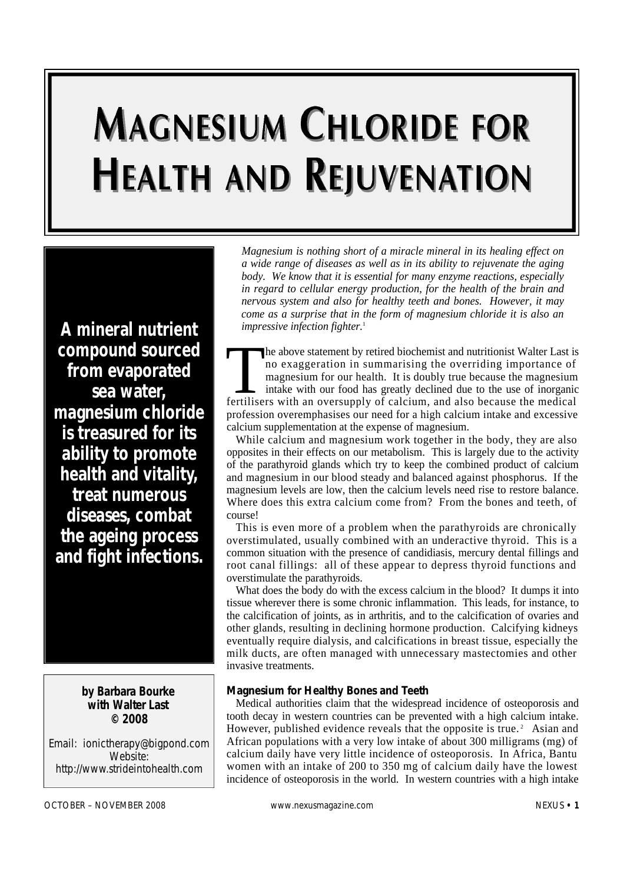# **MAGNESIUM CHLORIDE FOR HEALTH AND REJUVENATION**

*A mineral nutrient compound sourced from evaporated sea water, magnesium chloride is treasured for its ability to promote health and vitality, treat numerous diseases, combat the ageing process and fight infections.*

> **by Barbara Bourke with Walter Last © 2008**

Email: ionictherapy@bigpond.com Website: http://www.strideintohealth.com

*Magnesium is nothing short of a miracle mineral in its healing effect on a wide range of diseases as well as in its ability to rejuvenate the aging body. We know that it is essential for many enzyme reactions, especially in regard to cellular energy production, for the health of the brain and nervous system and also for healthy teeth and bones. However, it may come as a surprise that in the form of magnesium chloride it is also an impressive infection fighter.*<sup>1</sup>

The above statement by retired biochemist and nutritionist Walter Last is<br>no exaggeration in summarising the overriding importance of<br>magnesium for our health. It is doubly true because the magnesium<br>intake with our food h he above statement by retired biochemist and nutritionist Walter Last is no exaggeration in summarising the overriding importance of magnesium for our health. It is doubly true because the magnesium intake with our food has greatly declined due to the use of inorganic profession overemphasises our need for a high calcium intake and excessive calcium supplementation at the expense of magnesium.

While calcium and magnesium work together in the body, they are also opposites in their effects on our metabolism. This is largely due to the activity of the parathyroid glands which try to keep the combined product of calcium and magnesium in our blood steady and balanced against phosphorus. If the magnesium levels are low, then the calcium levels need rise to restore balance. Where does this extra calcium come from? From the bones and teeth, of course!

This is even more of a problem when the parathyroids are chronically overstimulated, usually combined with an underactive thyroid. This is a common situation with the presence of candidiasis, mercury dental fillings and root canal fillings: all of these appear to depress thyroid functions and overstimulate the parathyroids.

What does the body do with the excess calcium in the blood? It dumps it into tissue wherever there is some chronic inflammation. This leads, for instance, to the calcification of joints, as in arthritis, and to the calcification of ovaries and other glands, resulting in declining hormone production. Calcifying kidneys eventually require dialysis, and calcifications in breast tissue, especially the milk ducts, are often managed with unnecessary mastectomies and other invasive treatments.

#### **Magnesium for Healthy Bones and Teeth**

Medical authorities claim that the widespread incidence of osteoporosis and tooth decay in western countries can be prevented with a high calcium intake. However, published evidence reveals that the opposite is true.<sup>2</sup> Asian and African populations with a very low intake of about 300 milligrams (mg) of calcium daily have very little incidence of osteoporosis. In Africa, Bantu women with an intake of 200 to 350 mg of calcium daily have the lowest incidence of osteoporosis in the world. In western countries with a high intake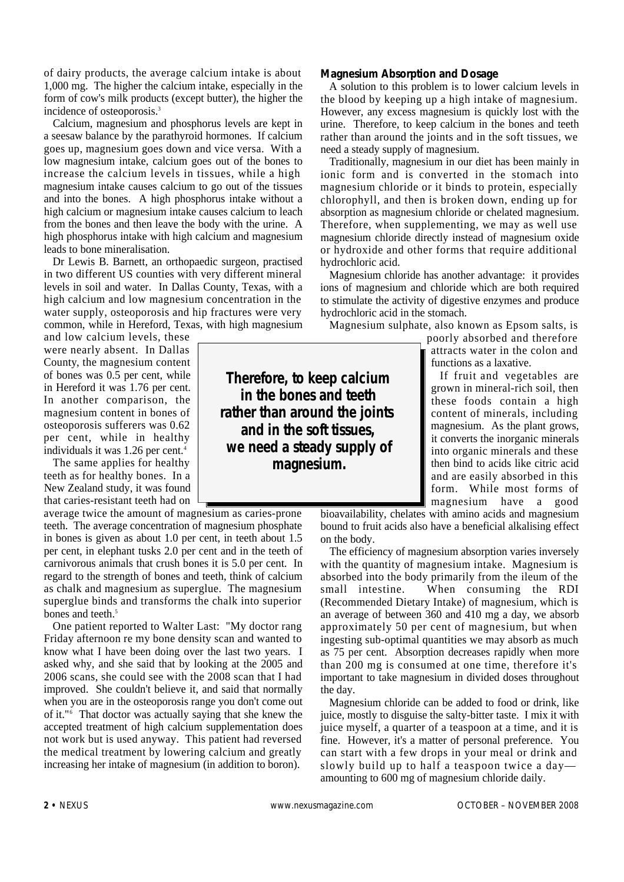of dairy products, the average calcium intake is about 1,000 mg. The higher the calcium intake, especially in the form of cow's milk products (except butter), the higher the incidence of osteoporosis.<sup>3</sup>

Calcium, magnesium and phosphorus levels are kept in a seesaw balance by the parathyroid hormones. If calcium goes up, magnesium goes down and vice versa. With a low magnesium intake, calcium goes out of the bones to increase the calcium levels in tissues, while a high magnesium intake causes calcium to go out of the tissues and into the bones. A high phosphorus intake without a high calcium or magnesium intake causes calcium to leach from the bones and then leave the body with the urine. A high phosphorus intake with high calcium and magnesium leads to bone mineralisation.

Dr Lewis B. Barnett, an orthopaedic surgeon, practised in two different US counties with very different mineral levels in soil and water. In Dallas County, Texas, with a high calcium and low magnesium concentration in the water supply, osteoporosis and hip fractures were very common, while in Hereford, Texas, with high magnesium

and low calcium levels, these were nearly absent. In Dallas County, the magnesium content of bones was 0.5 per cent, while in Hereford it was 1.76 per cent. In another comparison, the magnesium content in bones of osteoporosis sufferers was 0.62 per cent, while in healthy individuals it was 1.26 per cent.<sup>4</sup>

The same applies for healthy teeth as for healthy bones. In a New Zealand study, it was found that caries-resistant teeth had on

average twice the amount of magnesium as caries-prone teeth. The average concentration of magnesium phosphate in bones is given as about 1.0 per cent, in teeth about 1.5 per cent, in elephant tusks 2.0 per cent and in the teeth of carnivorous animals that crush bones it is 5.0 per cent. In regard to the strength of bones and teeth, think of calcium as chalk and magnesium as superglue. The magnesium superglue binds and transforms the chalk into superior bones and teeth.<sup>5</sup>

One patient reported to Walter Last: "My doctor rang Friday afternoon re my bone density scan and wanted to know what I have been doing over the last two years. I asked why, and she said that by looking at the 2005 and 2006 scans, she could see with the 2008 scan that I had improved. She couldn't believe it, and said that normally when you are in the osteoporosis range you don't come out of it."<sup>6</sup> That doctor was actually saying that she knew the accepted treatment of high calcium supplementation does not work but is used anyway. This patient had reversed the medical treatment by lowering calcium and greatly increasing her intake of magnesium (in addition to boron).

**Magnesium Absorption and Dosage**

A solution to this problem is to lower calcium levels in the blood by keeping up a high intake of magnesium. However, any excess magnesium is quickly lost with the urine. Therefore, to keep calcium in the bones and teeth rather than around the joints and in the soft tissues, we need a steady supply of magnesium.

Traditionally, magnesium in our diet has been mainly in ionic form and is converted in the stomach into magnesium chloride or it binds to protein, especially chlorophyll, and then is broken down, ending up for absorption as magnesium chloride or chelated magnesium. Therefore, when supplementing, we may as well use magnesium chloride directly instead of magnesium oxide or hydroxide and other forms that require additional hydrochloric acid.

Magnesium chloride has another advantage: it provides ions of magnesium and chloride which are both required to stimulate the activity of digestive enzymes and produce hydrochloric acid in the stomach.

Magnesium sulphate, also known as Epsom salts, is

poorly absorbed and therefore attracts water in the colon and functions as a laxative.

If fruit and vegetables are grown in mineral-rich soil, then these foods contain a high content of minerals, including magnesium. As the plant grows, it converts the inorganic minerals into organic minerals and these then bind to acids like citric acid and are easily absorbed in this form. While most forms of magnesium have a good

bioavailability, chelates with amino acids and magnesium bound to fruit acids also have a beneficial alkalising effect on the body.

The efficiency of magnesium absorption varies inversely with the quantity of magnesium intake. Magnesium is absorbed into the body primarily from the ileum of the small intestine. When consuming the RDI (Recommended Dietary Intake) of magnesium, which is an average of between 360 and 410 mg a day, we absorb approximately 50 per cent of magnesium, but when ingesting sub-optimal quantities we may absorb as much as 75 per cent. Absorption decreases rapidly when more than 200 mg is consumed at one time, therefore it's important to take magnesium in divided doses throughout the day.

Magnesium chloride can be added to food or drink, like juice, mostly to disguise the salty-bitter taste. I mix it with juice myself, a quarter of a teaspoon at a time, and it is fine. However, it's a matter of personal preference. You can start with a few drops in your meal or drink and slowly build up to half a teaspoon twice a day amounting to 600 mg of magnesium chloride daily.

**Therefore, to keep calcium in the bones and teeth rather than around the joints and in the soft tissues, we need a steady supply of magnesium.**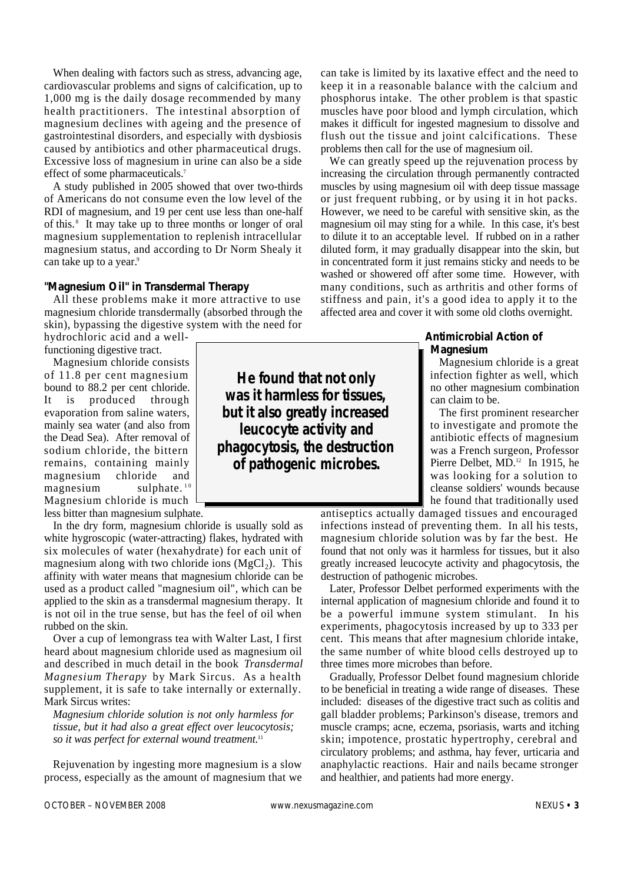When dealing with factors such as stress, advancing age, cardiovascular problems and signs of calcification, up to 1,000 mg is the daily dosage recommended by many health practitioners. The intestinal absorption of magnesium declines with ageing and the presence of gastrointestinal disorders, and especially with dysbiosis caused by antibiotics and other pharmaceutical drugs. Excessive loss of magnesium in urine can also be a side effect of some pharmaceuticals.<sup>7</sup>

A study published in 2005 showed that over two-thirds of Americans do not consume even the low level of the RDI of magnesium, and 19 per cent use less than one-half of this. <sup>8</sup> It may take up to three months or longer of oral magnesium supplementation to replenish intracellular magnesium status, and according to Dr Norm Shealy it can take up to a year.<sup>9</sup>

#### **"Magnesium Oil" in Transdermal Therapy**

All these problems make it more attractive to use magnesium chloride transdermally (absorbed through the skin), bypassing the digestive system with the need for

hydrochloric acid and a wellfunctioning digestive tract.

Magnesium chloride consists of 11.8 per cent magnesium bound to 88.2 per cent chloride. It is produced through evaporation from saline waters, mainly sea water (and also from the Dead Sea). After removal of sodium chloride, the bittern remains, containing mainly magnesium chloride and  $magnesium$  sulphate.<sup>10</sup> Magnesium chloride is much less bitter than magnesium sulphate.

In the dry form, magnesium chloride is usually sold as white hygroscopic (water-attracting) flakes, hydrated with

six molecules of water (hexahydrate) for each unit of magnesium along with two chloride ions  $(MgCl<sub>2</sub>)$ . This affinity with water means that magnesium chloride can be used as a product called "magnesium oil", which can be applied to the skin as a transdermal magnesium therapy. It is not oil in the true sense, but has the feel of oil when rubbed on the skin.

Over a cup of lemongrass tea with Walter Last, I first heard about magnesium chloride used as magnesium oil and described in much detail in the book *Transdermal Magnesium Therapy* by Mark Sircus. As a health supplement, it is safe to take internally or externally. Mark Sircus writes:

*Magnesium chloride solution is not only harmless for tissue, but it had also a great effect over leucocytosis; so it was perfect for external wound treatment.*<sup>11</sup>

Rejuvenation by ingesting more magnesium is a slow process, especially as the amount of magnesium that we can take is limited by its laxative effect and the need to keep it in a reasonable balance with the calcium and phosphorus intake. The other problem is that spastic muscles have poor blood and lymph circulation, which makes it difficult for ingested magnesium to dissolve and flush out the tissue and joint calcifications. These problems then call for the use of magnesium oil.

We can greatly speed up the rejuvenation process by increasing the circulation through permanently contracted muscles by using magnesium oil with deep tissue massage or just frequent rubbing, or by using it in hot packs. However, we need to be careful with sensitive skin, as the magnesium oil may sting for a while. In this case, it's best to dilute it to an acceptable level. If rubbed on in a rather diluted form, it may gradually disappear into the skin, but in concentrated form it just remains sticky and needs to be washed or showered off after some time. However, with many conditions, such as arthritis and other forms of stiffness and pain, it's a good idea to apply it to the affected area and cover it with some old cloths overnight.

#### **Antimicrobial Action of Magnesium**

Magnesium chloride is a great infection fighter as well, which no other magnesium combination can claim to be.

The first prominent researcher to investigate and promote the antibiotic effects of magnesium was a French surgeon, Professor Pierre Delbet, MD.<sup>12</sup> In 1915, he was looking for a solution to cleanse soldiers' wounds because he found that traditionally used

antiseptics actually damaged tissues and encouraged infections instead of preventing them. In all his tests, magnesium chloride solution was by far the best. He found that not only was it harmless for tissues, but it also greatly increased leucocyte activity and phagocytosis, the destruction of pathogenic microbes.

Later, Professor Delbet performed experiments with the internal application of magnesium chloride and found it to be a powerful immune system stimulant. In his experiments, phagocytosis increased by up to 333 per cent. This means that after magnesium chloride intake, the same number of white blood cells destroyed up to three times more microbes than before.

Gradually, Professor Delbet found magnesium chloride to be beneficial in treating a wide range of diseases. These included: diseases of the digestive tract such as colitis and gall bladder problems; Parkinson's disease, tremors and muscle cramps; acne, eczema, psoriasis, warts and itching skin; impotence, prostatic hypertrophy, cerebral and circulatory problems; and asthma, hay fever, urticaria and anaphylactic reactions. Hair and nails became stronger and healthier, and patients had more energy.

**He found that not only was it harmless for tissues, but it also greatly increased leucocyte activity and phagocytosis, the destruction of pathogenic microbes.**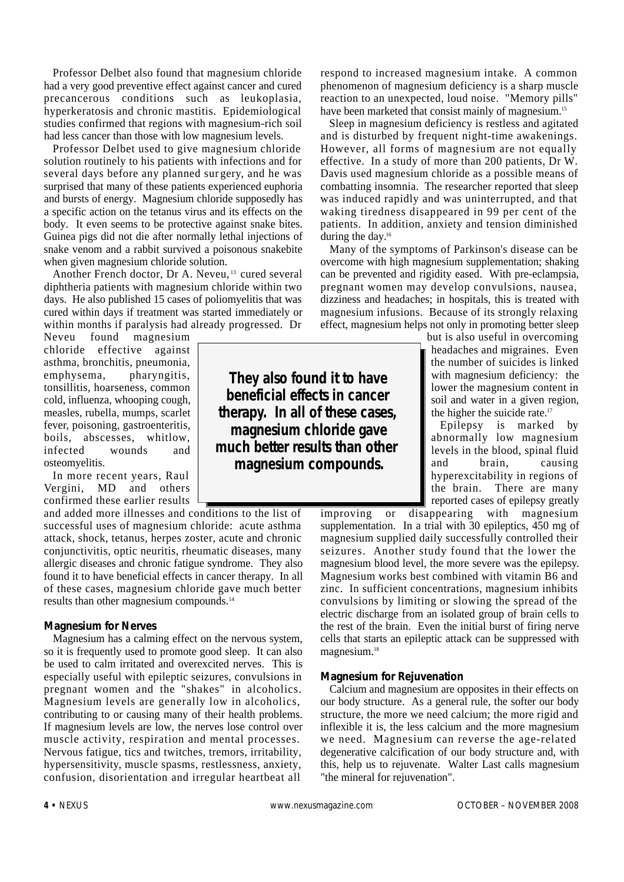Professor Delbet also found that magnesium chloride had a very good preventive effect against cancer and cured precancerous conditions such as leukoplasia, hyperkeratosis and chronic mastitis. Epidemiological studies confirmed that regions with magnesium-rich soil had less cancer than those with low magnesium levels.

Professor Delbet used to give magnesium chloride solution routinely to his patients with infections and for several days before any planned surgery, and he was surprised that many of these patients experienced euphoria and bursts of energy. Magnesium chloride supposedly has a specific action on the tetanus virus and its effects on the body. It even seems to be protective against snake bites. Guinea pigs did not die after normally lethal injections of snake venom and a rabbit survived a poisonous snakebite when given magnesium chloride solution.

Another French doctor, Dr A. Neveu,<sup>13</sup> cured several diphtheria patients with magnesium chloride within two days. He also published 15 cases of poliomyelitis that was cured within days if treatment was started immediately or within months if paralysis had already progressed. Dr

Neveu found magnesium chloride effective against asthma, bronchitis, pneumonia, emphysema, pharyngitis, tonsillitis, hoarseness, common cold, influenza, whooping cough, measles, rubella, mumps, scarlet fever, poisoning, gastroenteritis, boils, abscesses, whitlow, infected wounds and osteomyelitis.

In more recent years, Raul Vergini, MD and others confirmed these earlier results

and added more illnesses and conditions to the list of successful uses of magnesium chloride: acute asthma attack, shock, tetanus, herpes zoster, acute and chronic conjunctivitis, optic neuritis, rheumatic diseases, many allergic diseases and chronic fatigue syndrome. They also found it to have beneficial effects in cancer therapy. In all of these cases, magnesium chloride gave much better results than other magnesium compounds.<sup>14</sup>

#### **Magnesium for Nerves**

Magnesium has a calming effect on the nervous system, so it is frequently used to promote good sleep. It can also be used to calm irritated and overexcited nerves. This is especially useful with epileptic seizures, convulsions in pregnant women and the "shakes" in alcoholics. Magnesium levels are generally low in alcoholics, contributing to or causing many of their health problems. If magnesium levels are low, the nerves lose control over muscle activity, respiration and mental processes. Nervous fatigue, tics and twitches, tremors, irritability, h y per sensitivity, muscle spasms, restlessness, anxiety, confusion, disorientation and irregular heartbeat all

**They also found it to have beneficial effects in cancer therapy. In all of these cases, magnesium chloride gave much better results than other magnesium compounds.**

respond to increased magnesium intake. A common phenomenon of magnesium deficiency is a sharp muscle reaction to an unexpected, loud noise. "Memory pills" have been marketed that consist mainly of magnesium.<sup>15</sup>

Sleep in magnesium deficiency is restless and agitated and is disturbed by frequent night-time awakenings. However, all forms of magnesium are not equally e ffective. In a study of more than 200 patients, Dr W. Davis used magnesium chloride as a possible means of combatting insomnia. The researcher reported that sleep was induced rapidly and was uninterrupted, and that waking tiredness disappeared in 99 per cent of the patients. In addition, anxiety and tension diminished during the day.<sup>16</sup>

Many of the symptoms of Parkinson's disease can be overcome with high magnesium supplementation; shaking can be prevented and rigidity eased. With pre-eclampsia, pregnant women may develop convulsions, nausea, dizziness and headaches; in hospitals, this is treated with magnesium infusions. Because of its strongly relaxing effect, magnesium helps not only in promoting better sleep

> but is also useful in overcoming headaches and migraines. Even the number of suicides is linked with magnesium deficiency: the lower the magnesium content in soil and water in a given region, the higher the suicide rate.<sup>17</sup>

Epilepsy is marked by abnormally low magnesium levels in the blood, spinal fluid and brain, causing hyperexcitability in regions of the brain. There are many reported cases of epilepsy greatly

improving or disappearing with magnesium supplementation. In a trial with 30 epileptics, 450 mg of magnesium supplied daily successfully controlled their seizures. Another study found that the lower the magnesium blood level, the more severe was the epilepsy. Magnesium works best combined with vitamin B6 and zinc. In sufficient concentrations, magnesium inhibits convulsions by limiting or slowing the spread of the electric discharge from an isolated group of brain cells to the rest of the brain. Even the initial burst of firing nerve cells that starts an epileptic attack can be suppressed with magnesium.<sup>18</sup>

#### **Magnesium for Rejuvenation**

Calcium and magnesium are opposites in their effects on our body structure. As a general rule, the softer our body structure, the more we need calcium; the more rigid and inflexible it is, the less calcium and the more magnesium we need. Magnesium can reverse the age-related degenerative calcification of our body structure and, with this, help us to rejuvenate. Walter Last calls magnesium "the mineral for rejuvenation".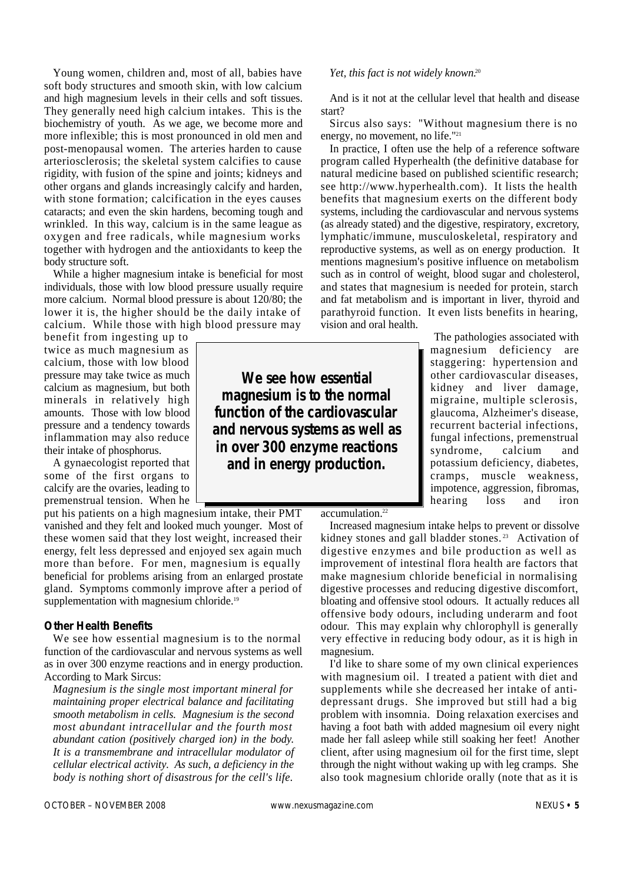Young women, children and, most of all, babies have soft body structures and smooth skin, with low calcium and high magnesium levels in their cells and soft tissues. They generally need high calcium intakes. This is the biochemistry of youth. As we age, we become more and more inflexible; this is most pronounced in old men and post-menopausal women. The arteries harden to cause arteriosclerosis; the skeletal system calcifies to cause rigidity, with fusion of the spine and joints; kidneys and other organs and glands increasingly calcify and harden, with stone formation; calcification in the eyes causes cataracts; and even the skin hardens, becoming tough and wrinkled. In this way, calcium is in the same league as oxygen and free radicals, while magnesium works together with hydrogen and the antioxidants to keep the body structure soft.

While a higher magnesium intake is beneficial for most individuals, those with low blood pressure usually require more calcium. Normal blood pressure is about 120/80; the lower it is, the higher should be the daily intake of calcium. While those with high blood pressure may

benefit from ingesting up to twice as much magnesium as calcium, those with low blood pressure may take twice as much calcium as magnesium, but both minerals in relatively high amounts. Those with low blood pressure and a tendency towards inflammation may also reduce their intake of phosphorus.

A gynaecologist reported that some of the first organs to calcify are the ovaries, leading to premenstrual tension. When he

put his patients on a high magnesium intake, their PMT vanished and they felt and looked much younger. Most of these women said that they lost weight, increased their energy, felt less depressed and enjoyed sex again much more than before. For men, magnesium is equally beneficial for problems arising from an enlarged prostate gland. Symptoms commonly improve after a period of supplementation with magnesium chloride.<sup>19</sup>

#### **Other Health Benefits**

We see how essential magnesium is to the normal function of the cardiovascular and nervous systems as well as in over 300 enzyme reactions and in energy production. According to Mark Sircus:

*Magnesium is the single most important mineral for maintaining proper electrical balance and facilitating smooth metabolism in cells. Magnesium is the second most abundant intracellular and the fourth most abundant cation (positively charged ion) in the body. It is a transmembrane and intracellular modulator of cellular electrical activity. As such, a deficiency in the body is nothing short of disastrous for the cell's life.*

# **We see how essential magnesium is to the normal function of the cardiovascular and nervous systems as well as in over 300 enzyme reactions and in energy production.**

*Yet, this fact is not widely known.*<sup>20</sup>

And is it not at the cellular level that health and disease start?

Sircus also says: "Without magnesium there is no energy, no movement, no life."<sup>21</sup>

In practice, I often use the help of a reference software program called Hyperhealth (the definitive database for natural medicine based on published scientific research; see http://www.hyperhealth.com). It lists the health benefits that magnesium exerts on the different body systems, including the cardiovascular and nervous systems (as already stated) and the digestive, respiratory, excretory, lymphatic/immune, musculoskeletal, respiratory and reproductive systems, as well as on energy production. It mentions magnesium's positive influence on metabolism such as in control of weight, blood sugar and cholesterol, and states that magnesium is needed for protein, starch and fat metabolism and is important in liver, thyroid and parathyroid function. It even lists benefits in hearing, vision and oral health.

> The pathologies associated with magnesium deficiency are staggering: hypertension and other cardiovascular diseases, kidney and liver damage, migraine, multiple sclerosis, glaucoma, Alzheimer's disease, recurrent bacterial infections, fungal infections, premenstrual syndrome, calcium and potassium deficiency, diabetes, cramps, muscle weakness, impotence, aggression, fibromas, hearing loss and iron

 $accumulation.<sup>22</sup>$ 

Increased magnesium intake helps to prevent or dissolve kidney stones and gall bladder stones.<sup>23</sup> Activation of digestive enzymes and bile production as well as improvement of intestinal flora health are factors that make magnesium chloride beneficial in normalising digestive processes and reducing digestive discomfort, bloating and offensive stool odours. It actually reduces all o ffensive body odours, including underarm and foot odour. This may explain why chlorophyll is generally very effective in reducing body odour, as it is high in magnesium.

I'd like to share some of my own clinical experiences with magnesium oil. I treated a patient with diet and supplements while she decreased her intake of antidepressant drugs. She improved but still had a big problem with insomnia. Doing relaxation exercises and having a foot bath with added magnesium oil every night made her fall asleep while still soaking her feet! Another client, after using magnesium oil for the first time, slept through the night without waking up with leg cramps. She also took magnesium chloride orally (note that as it is